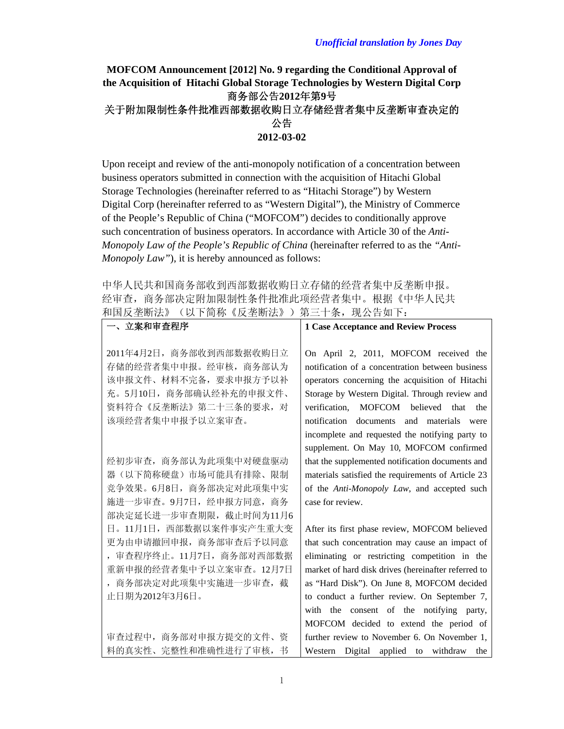## **MOFCOM Announcement [2012] No. 9 regarding the Conditional Approval of the Acquisition of Hitachi Global Storage Technologies by Western Digital Corp**  商务部公告**2012**年第**9**号 关于附加限制性条件批准西部数据收购日立存储经营者集中反垄断审查决定的 公告 **2012-03-02**

Upon receipt and review of the anti-monopoly notification of a concentration between business operators submitted in connection with the acquisition of Hitachi Global Storage Technologies (hereinafter referred to as "Hitachi Storage") by Western Digital Corp (hereinafter referred to as "Western Digital"), the Ministry of Commerce of the People's Republic of China ("MOFCOM") decides to conditionally approve such concentration of business operators. In accordance with Article 30 of the *Anti-Monopoly Law of the People's Republic of China* (hereinafter referred to as the *"Anti-Monopoly Law"*), it is hereby announced as follows:

中华人民共和国商务部收到西部数据收购日立存储的经营者集中反垄断申报。 经审查,商务部决定附加限制性条件批准此项经营者集中。根据《中华人民共 和国反垄断法》(以下简称《反垄断法》)第三十条,现公告如下:

| 一、立案和审査程序                | <b>1 Case Acceptance and Review Process</b>         |
|--------------------------|-----------------------------------------------------|
|                          |                                                     |
| 2011年4月2日, 商务部收到西部数据收购日立 | On April 2, 2011, MOFCOM received the               |
| 存储的经营者集中申报。经审核, 商务部认为    | notification of a concentration between business    |
| 该申报文件、材料不完备, 要求申报方予以补    | operators concerning the acquisition of Hitachi     |
| 充。5月10日, 商务部确认经补充的申报文件、  | Storage by Western Digital. Through review and      |
| 资料符合《反垄断法》第二十三条的要求, 对    | verification, MOFCOM believed<br>that<br>the        |
| 该项经营者集中申报予以立案审查。         | notification documents and materials<br>were        |
|                          | incomplete and requested the notifying party to     |
|                          | supplement. On May 10, MOFCOM confirmed             |
| 经初步审查, 商务部认为此项集中对硬盘驱动    | that the supplemented notification documents and    |
| 器(以下简称硬盘)市场可能具有排除、限制     | materials satisfied the requirements of Article 23  |
| 竞争效果。6月8日, 商务部决定对此项集中实   | of the Anti-Monopoly Law, and accepted such         |
| 施进一步审查。9月7日, 经申报方同意, 商务  | case for review.                                    |
| 部决定延长进一步审查期限, 截止时间为11月6  |                                                     |
| 日。11月1日, 西部数据以案件事实产生重大变  | After its first phase review, MOFCOM believed       |
| 更为由申请撤回申报, 商务部审查后予以同意    | that such concentration may cause an impact of      |
| 审查程序终止。11月7日, 商务部对西部数据   | eliminating or restricting competition in the       |
| 重新申报的经营者集中予以立案审查。12月7日   | market of hard disk drives (hereinafter referred to |
| 商务部决定对此项集中实施进一步审查, 截     | as "Hard Disk"). On June 8, MOFCOM decided          |
| 止日期为2012年3月6日。           | to conduct a further review. On September 7,        |
|                          | with the consent of the notifying party,            |
|                          | MOFCOM decided to extend the period of              |
| 审查过程中, 商务部对申报方提交的文件、资    | further review to November 6. On November 1,        |
| 料的真实性、完整性和准确性进行了审核,<br>书 | Digital<br>applied to withdraw<br>Western<br>the    |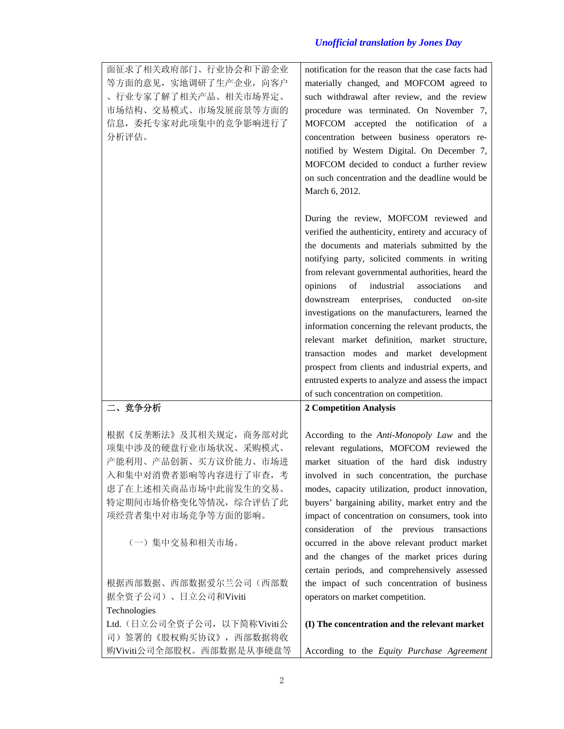| 面征求了相关政府部门、行业协会和下游企业         | notification for the reason that the case facts had |
|------------------------------|-----------------------------------------------------|
| 等方面的意见, 实地调研了生产企业, 向客户       | materially changed, and MOFCOM agreed to            |
| 、行业专家了解了相关产品、相关市场界定、         | such withdrawal after review, and the review        |
| 市场结构、交易模式、市场发展前景等方面的         | procedure was terminated. On November 7,            |
| 信息, 委托专家对此项集中的竞争影响进行了        | MOFCOM accepted the notification of a               |
| 分析评估。                        | concentration between business operators re-        |
|                              | notified by Western Digital. On December 7,         |
|                              | MOFCOM decided to conduct a further review          |
|                              | on such concentration and the deadline would be     |
|                              | March 6, 2012.                                      |
|                              | During the review, MOFCOM reviewed and              |
|                              | verified the authenticity, entirety and accuracy of |
|                              | the documents and materials submitted by the        |
|                              | notifying party, solicited comments in writing      |
|                              | from relevant governmental authorities, heard the   |
|                              | industrial<br>opinions<br>of<br>associations<br>and |
|                              | downstream enterprises,<br>conducted on-site        |
|                              | investigations on the manufacturers, learned the    |
|                              | information concerning the relevant products, the   |
|                              | relevant market definition, market structure,       |
|                              | transaction modes and market development            |
|                              | prospect from clients and industrial experts, and   |
|                              | entrusted experts to analyze and assess the impact  |
|                              | of such concentration on competition.               |
| 二、竞争分析                       | <b>2 Competition Analysis</b>                       |
| 根据《反垄断法》及其相关规定, 商务部对此        | According to the Anti-Monopoly Law and the          |
| 项集中涉及的硬盘行业市场状况、采购模式、         | relevant regulations, MOFCOM reviewed the           |
| 产能利用、产品创新、买方议价能力、市场进         | market situation of the hard disk industry          |
| 入和集中对消费者影响等内容进行了审查,考         | involved in such concentration, the purchase        |
| 虑了在上述相关商品市场中此前发生的交易、         | modes, capacity utilization, product innovation,    |
| 特定期间市场价格变化等情况, 综合评估了此        | buyers' bargaining ability, market entry and the    |
| 项经营者集中对市场竞争等方面的影响。           | impact of concentration on consumers, took into     |
|                              | consideration of the previous transactions          |
| (一) 集中交易和相关市场。               | occurred in the above relevant product market       |
|                              | and the changes of the market prices during         |
|                              | certain periods, and comprehensively assessed       |
| 根据西部数据、西部数据爱尔兰公司(西部数         | the impact of such concentration of business        |
| 据全资子公司)、日立公司和Viviti          | operators on market competition.                    |
| Technologies                 |                                                     |
| Ltd. (日立公司全资子公司, 以下简称Viviti公 | (I) The concentration and the relevant market       |
| 司)签署的《股权购买协议》, 西部数据将收        |                                                     |
| 购Viviti公司全部股权。西部数据是从事硬盘等     | According to the Equity Purchase Agreement          |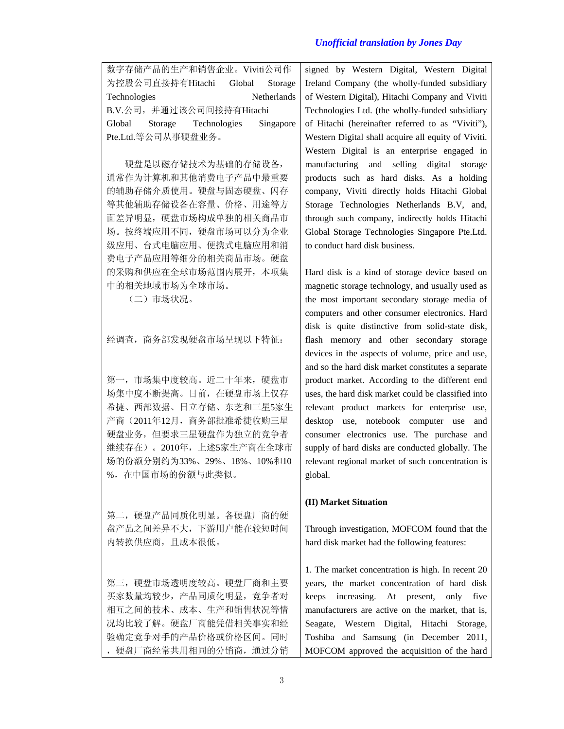|                    | 数字存储产品的生产和销售企业。Viviti公司作        |  |             |
|--------------------|---------------------------------|--|-------------|
|                    | 为控股公司直接持有Hitachi Global Storage |  |             |
| Technologies       |                                 |  | Netherlands |
|                    | B.V.公司, 并通过该公司间接持有Hitachi       |  |             |
|                    | Global Storage Technologies     |  | Singapore   |
| Pte.Ltd.等公司从事硬盘业务。 |                                 |  |             |

硬盘是以磁存储技术为基础的存储设备, 通常作为计算机和其他消费电子产品中最重要 的辅助存储介质使用。硬盘与固态硬盘、闪存 等其他辅助存储设备在容量、价格、用途等方 面差异明显,硬盘市场构成单独的相关商品市 场。按终端应用不同,硬盘市场可以分为企业 级应用、台式电脑应用、便携式电脑应用和消 费电子产品应用等细分的相关商品市场。硬盘 的采购和供应在全球市场范围内展开,本项集 中的相关地域市场为全球市场。

(二)市场状况。

经调查,商务部发现硬盘市场呈现以下特征:

第一,市场集中度较高。近二十年来,硬盘市 场集中度不断提高。目前,在硬盘市场上仅存 希捷、西部数据、日立存储、东芝和三星5家生 产商(2011年12月,商务部批准希捷收购三星 硬盘业务,但要求三星硬盘作为独立的竞争者 继续存在)。2010年,上述5家生产商在全球市 场的份额分别约为33%、29%、18%、10%和10 %,在中国市场的份额与此类似。

第二,硬盘产品同质化明显。各硬盘厂商的硬 盘产品之间差异不大,下游用户能在较短时间 内转换供应商,且成本很低。

第三,硬盘市场透明度较高。硬盘厂商和主要 买家数量均较少,产品同质化明显,竞争者对 相互之间的技术、成本、生产和销售状况等情 况均比较了解。硬盘厂商能凭借相关事实和经 验确定竞争对手的产品价格或价格区间。同时 ,硬盘厂商经常共用相同的分销商,通过分销 signed by Western Digital, Western Digital Ireland Company (the wholly-funded subsidiary of Western Digital), Hitachi Company and Viviti Technologies Ltd. (the wholly-funded subsidiary of Hitachi (hereinafter referred to as "Viviti"), Western Digital shall acquire all equity of Viviti. Western Digital is an enterprise engaged in manufacturing and selling digital storage products such as hard disks. As a holding company, Viviti directly holds Hitachi Global Storage Technologies Netherlands B.V, and, through such company, indirectly holds Hitachi Global Storage Technologies Singapore Pte.Ltd. to conduct hard disk business.

Hard disk is a kind of storage device based on magnetic storage technology, and usually used as the most important secondary storage media of computers and other consumer electronics. Hard disk is quite distinctive from solid-state disk, flash memory and other secondary storage devices in the aspects of volume, price and use, and so the hard disk market constitutes a separate product market. According to the different end uses, the hard disk market could be classified into relevant product markets for enterprise use, desktop use, notebook computer use and consumer electronics use. The purchase and supply of hard disks are conducted globally. The relevant regional market of such concentration is global.

### **(II) Market Situation**

Through investigation, MOFCOM found that the hard disk market had the following features:

1. The market concentration is high. In recent 20 years, the market concentration of hard disk keeps increasing. At present, only five manufacturers are active on the market, that is, Seagate, Western Digital, Hitachi Storage, Toshiba and Samsung (in December 2011, MOFCOM approved the acquisition of the hard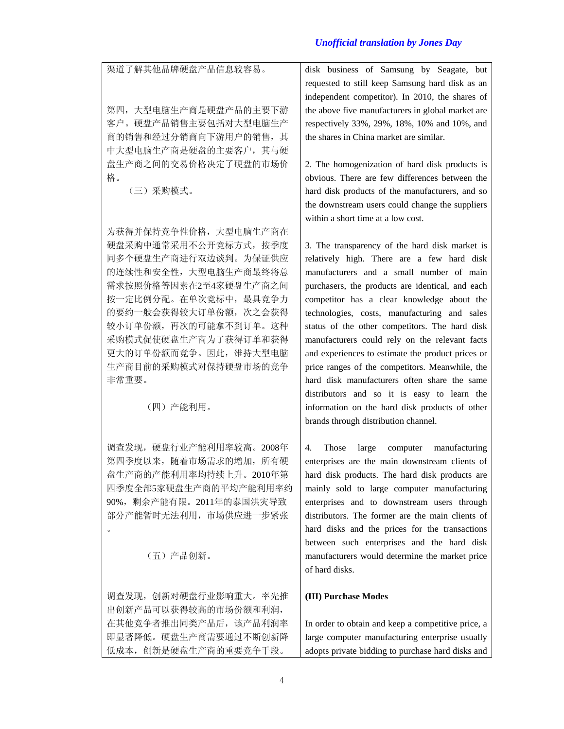渠道了解其他品牌硬盘产品信息较容易。 第四,大型电脑生产商是硬盘产品的主要下游 客户。硬盘产品销售主要包括对大型电脑生产 商的销售和经过分销商向下游用户的销售,其 中大型电脑生产商是硬盘的主要客户,其与硬 盘生产商之间的交易价格决定了硬盘的市场价 格。 (三)采购模式。 为获得并保持竞争性价格,大型电脑生产商在 硬盘采购中通常采用不公开竞标方式,按季度 同多个硬盘生产商进行双边谈判。为保证供应 的连续性和安全性,大型电脑生产商最终将总 需求按照价格等因素在2至4家硬盘生产商之间 按一定比例分配。在单次竞标中,最具竞争力 的要约一般会获得较大订单份额,次之会获得 较小订单份额,再次的可能拿不到订单。这种 采购模式促使硬盘生产商为了获得订单和获得 更大的订单份额而竞争。因此,维持大型电脑 生产商目前的采购模式对保持硬盘市场的竞争 非常重要。 (四)产能利用。 调查发现,硬盘行业产能利用率较高。2008年 第四季度以来,随着市场需求的增加,所有硬 盘生产商的产能利用率均持续上升。2010年第 四季度全部5家硬盘生产商的平均产能利用率约 90%,剩余产能有限。2011年的泰国洪灾导致 部分产能暂时无法利用,市场供应进一步紧张  $\bullet$  (五)产品创新。 调查发现,创新对硬盘行业影响重大。率先推 出创新产品可以获得较高的市场份额和利润, 在其他竞争者推出同类产品后,该产品利润率 即显著降低。硬盘生产商需要通过不断创新降 disk business of Samsung by Seagate, but requested to still keep Samsung hard disk as an independent competitor). In 2010, the shares of the above five manufacturers in global market are respectively 33%, 29%, 18%, 10% and 10%, and the shares in China market are similar. 2. The homogenization of hard disk products is obvious. There are few differences between the hard disk products of the manufacturers, and so the downstream users could change the suppliers within a short time at a low cost. 3. The transparency of the hard disk market is relatively high. There are a few hard disk manufacturers and a small number of main purchasers, the products are identical, and each competitor has a clear knowledge about the technologies, costs, manufacturing and sales status of the other competitors. The hard disk manufacturers could rely on the relevant facts and experiences to estimate the product prices or price ranges of the competitors. Meanwhile, the hard disk manufacturers often share the same distributors and so it is easy to learn the information on the hard disk products of other brands through distribution channel. 4. Those large computer manufacturing enterprises are the main downstream clients of hard disk products. The hard disk products are mainly sold to large computer manufacturing enterprises and to downstream users through distributors. The former are the main clients of hard disks and the prices for the transactions between such enterprises and the hard disk manufacturers would determine the market price of hard disks. **(III) Purchase Modes**  In order to obtain and keep a competitive price, a large computer manufacturing enterprise usually

adopts private bidding to purchase hard disks and

低成本,创新是硬盘生产商的重要竞争手段。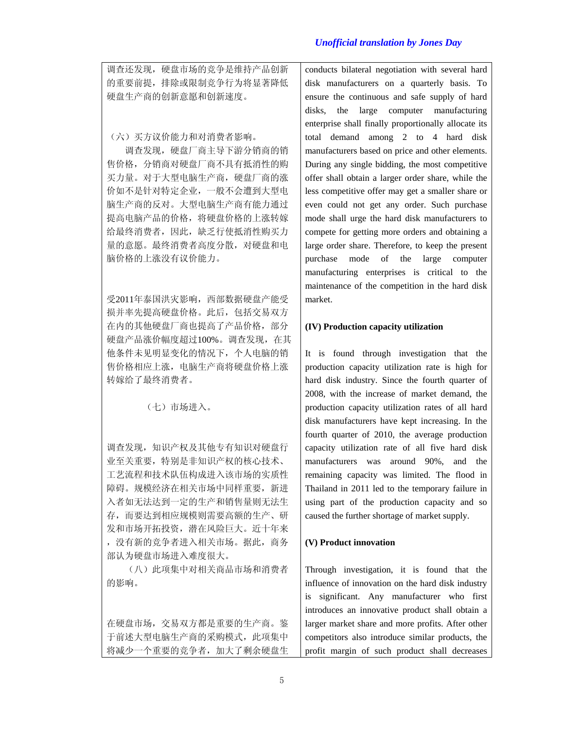调查还发现,硬盘市场的竞争是维持产品创新 的重要前提,排除或限制竞争行为将显著降低 硬盘生产商的创新意愿和创新速度。

(六)买方议价能力和对消费者影响。

调查发现,硬盘厂商主导下游分销商的销 售价格,分销商对硬盘厂商不具有抵消性的购 买力量。对于大型电脑生产商,硬盘厂商的涨 价如不是针对特定企业,一般不会遭到大型电 脑生产商的反对。大型电脑生产商有能力通过 提高电脑产品的价格,将硬盘价格的上涨转嫁 给最终消费者,因此,缺乏行使抵消性购买力 量的意愿。最终消费者高度分散,对硬盘和电 脑价格的上涨没有议价能力。

受2011年泰国洪灾影响,西部数据硬盘产能受 损并率先提高硬盘价格。此后,包括交易双方 在内的其他硬盘厂商也提高了产品价格,部分 硬盘产品涨价幅度超过100%。调查发现,在其 他条件未见明显变化的情况下,个人电脑的销 售价格相应上涨,电脑生产商将硬盘价格上涨 转嫁给了最终消费者。

(七)市场进入。

调查发现, 知识产权及其他专有知识对硬盘行 业至关重要,特别是非知识产权的核心技术、 工艺流程和技术队伍构成进入该市场的实质性 障碍。规模经济在相关市场中同样重要,新进 入者如无法达到一定的生产和销售量则无法生 存,而要达到相应规模则需要高额的生产、研 发和市场开拓投资,潜在风险巨大。近十年来 ,没有新的竞争者进入相关市场。据此,商务 部认为硬盘市场进入难度很大。

(八)此项集中对相关商品市场和消费者 的影响。

在硬盘市场,交易双方都是重要的生产商。鉴 于前述大型电脑生产商的采购模式,此项集中 将减少一个重要的竞争者,加大了剩余硬盘生 conducts bilateral negotiation with several hard disk manufacturers on a quarterly basis. To ensure the continuous and safe supply of hard disks, the large computer manufacturing enterprise shall finally proportionally allocate its total demand among 2 to 4 hard disk manufacturers based on price and other elements. During any single bidding, the most competitive offer shall obtain a larger order share, while the less competitive offer may get a smaller share or even could not get any order. Such purchase mode shall urge the hard disk manufacturers to compete for getting more orders and obtaining a large order share. Therefore, to keep the present purchase mode of the large computer manufacturing enterprises is critical to the maintenance of the competition in the hard disk market.

#### **(IV) Production capacity utilization**

It is found through investigation that the production capacity utilization rate is high for hard disk industry. Since the fourth quarter of 2008, with the increase of market demand, the production capacity utilization rates of all hard disk manufacturers have kept increasing. In the fourth quarter of 2010, the average production capacity utilization rate of all five hard disk manufacturers was around 90%, and the remaining capacity was limited. The flood in Thailand in 2011 led to the temporary failure in using part of the production capacity and so caused the further shortage of market supply.

#### **(V) Product innovation**

Through investigation, it is found that the influence of innovation on the hard disk industry is significant. Any manufacturer who first introduces an innovative product shall obtain a larger market share and more profits. After other competitors also introduce similar products, the profit margin of such product shall decreases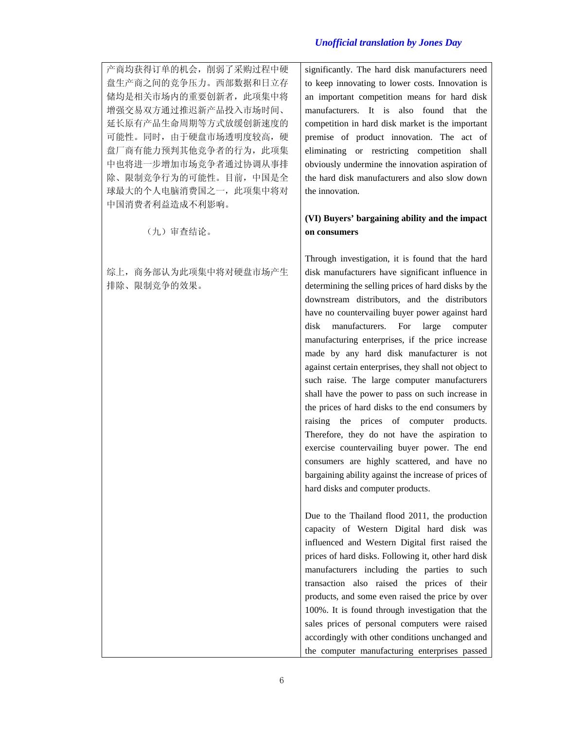产商均获得订单的机会,削弱了采购过程中硬 盘生产商之间的竞争压力。西部数据和日立存 储均是相关市场内的重要创新者,此项集中将 增强交易双方通过推迟新产品投入市场时间、 延长原有产品生命周期等方式放缓创新速度的 可能性。同时,由于硬盘市场透明度较高,硬 盘厂商有能力预判其他竞争者的行为,此项集 中也将进一步增加市场竞争者通过协调从事排 除、限制竞争行为的可能性。目前,中国是全 球最大的个人电脑消费国之一, 此项集中将对 中国消费者利益造成不利影响。

(九)审查结论。

综上,商务部认为此项集中将对硬盘市场产生 排除、限制竞争的效果。

significantly. The hard disk manufacturers need to keep innovating to lower costs. Innovation is an important competition means for hard disk manufacturers. It is also found that the competition in hard disk market is the important premise of product innovation. The act of eliminating or restricting competition shall obviously undermine the innovation aspiration of the hard disk manufacturers and also slow down the innovation.

## **(VI) Buyers' bargaining ability and the impact on consumers**

Through investigation, it is found that the hard disk manufacturers have significant influence in determining the selling prices of hard disks by the downstream distributors, and the distributors have no countervailing buyer power against hard disk manufacturers. For large computer manufacturing enterprises, if the price increase made by any hard disk manufacturer is not against certain enterprises, they shall not object to such raise. The large computer manufacturers shall have the power to pass on such increase in the prices of hard disks to the end consumers by raising the prices of computer products. Therefore, they do not have the aspiration to exercise countervailing buyer power. The end consumers are highly scattered, and have no bargaining ability against the increase of prices of hard disks and computer products.

Due to the Thailand flood 2011, the production capacity of Western Digital hard disk was influenced and Western Digital first raised the prices of hard disks. Following it, other hard disk manufacturers including the parties to such transaction also raised the prices of their products, and some even raised the price by over 100%. It is found through investigation that the sales prices of personal computers were raised accordingly with other conditions unchanged and the computer manufacturing enterprises passed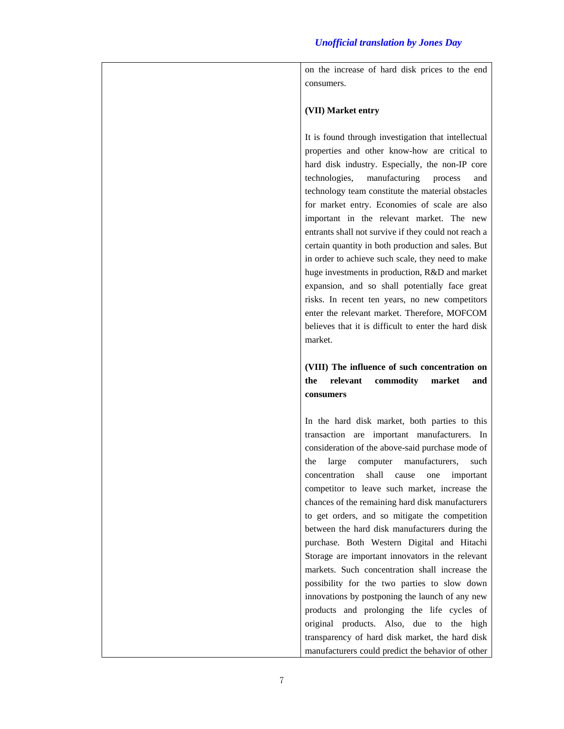on the increase of hard disk prices to the end consumers.

### **(VII) Market entry**

It is found through investigation that intellectual properties and other know-how are critical to hard disk industry. Especially, the non-IP core technologies, manufacturing process and technology team constitute the material obstacles for market entry. Economies of scale are also important in the relevant market. The new entrants shall not survive if they could not reach a certain quantity in both production and sales. But in order to achieve such scale, they need to make huge investments in production, R&D and market expansion, and so shall potentially face great risks. In recent ten years, no new competitors enter the relevant market. Therefore, MOFCOM believes that it is difficult to enter the hard disk market.

## **(VIII) The influence of such concentration on the relevant commodity market and consumers**

In the hard disk market, both parties to this transaction are important manufacturers. In consideration of the above-said purchase mode of the large computer manufacturers, such concentration shall cause one important competitor to leave such market, increase the chances of the remaining hard disk manufacturers to get orders, and so mitigate the competition between the hard disk manufacturers during the purchase. Both Western Digital and Hitachi Storage are important innovators in the relevant markets. Such concentration shall increase the possibility for the two parties to slow down innovations by postponing the launch of any new products and prolonging the life cycles of original products. Also, due to the high transparency of hard disk market, the hard disk manufacturers could predict the behavior of other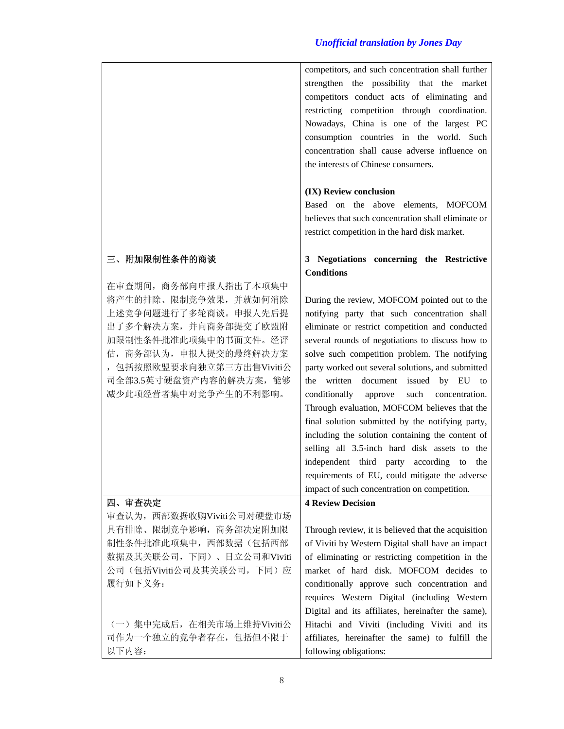|                                                                                                                                                                                                                                  | competitors, and such concentration shall further<br>strengthen the possibility that the market<br>competitors conduct acts of eliminating and<br>restricting competition through coordination.<br>Nowadays, China is one of the largest PC<br>consumption countries in the world. Such<br>concentration shall cause adverse influence on<br>the interests of Chinese consumers.<br>(IX) Review conclusion<br>Based on the above elements, MOFCOM<br>believes that such concentration shall eliminate or<br>restrict competition in the hard disk market.                                                                                                                                                                                                      |
|----------------------------------------------------------------------------------------------------------------------------------------------------------------------------------------------------------------------------------|----------------------------------------------------------------------------------------------------------------------------------------------------------------------------------------------------------------------------------------------------------------------------------------------------------------------------------------------------------------------------------------------------------------------------------------------------------------------------------------------------------------------------------------------------------------------------------------------------------------------------------------------------------------------------------------------------------------------------------------------------------------|
| 三、附加限制性条件的商谈                                                                                                                                                                                                                     | 3 Negotiations concerning the Restrictive                                                                                                                                                                                                                                                                                                                                                                                                                                                                                                                                                                                                                                                                                                                      |
|                                                                                                                                                                                                                                  | <b>Conditions</b>                                                                                                                                                                                                                                                                                                                                                                                                                                                                                                                                                                                                                                                                                                                                              |
| 在审查期间, 商务部向申报人指出了本项集中<br>将产生的排除、限制竞争效果,并就如何消除<br>上述竞争问题进行了多轮商谈。申报人先后提<br>出了多个解决方案, 并向商务部提交了欧盟附<br>加限制性条件批准此项集中的书面文件。经评<br>估, 商务部认为, 申报人提交的最终解决方案<br>, 包括按照欧盟要求向独立第三方出售Viviti公<br>司全部3.5英寸硬盘资产内容的解决方案, 能够<br>减少此项经营者集中对竞争产生的不利影响。 | During the review, MOFCOM pointed out to the<br>notifying party that such concentration shall<br>eliminate or restrict competition and conducted<br>several rounds of negotiations to discuss how to<br>solve such competition problem. The notifying<br>party worked out several solutions, and submitted<br>the written document issued by EU to<br>conditionally<br>approve<br>such<br>concentration.<br>Through evaluation, MOFCOM believes that the<br>final solution submitted by the notifying party,<br>including the solution containing the content of<br>selling all 3.5-inch hard disk assets to the<br>independent third party according to the<br>requirements of EU, could mitigate the adverse<br>impact of such concentration on competition. |
| 四、审査决定                                                                                                                                                                                                                           | <b>4 Review Decision</b>                                                                                                                                                                                                                                                                                                                                                                                                                                                                                                                                                                                                                                                                                                                                       |
| 审查认为, 西部数据收购Viviti公司对硬盘市场<br>具有排除、限制竞争影响, 商务部决定附加限<br>制性条件批准此项集中, 西部数据(包括西部<br>数据及其关联公司, 下同)、日立公司和Viviti<br>公司(包括Viviti公司及其关联公司, 下同)应<br>履行如下义务:                                                                                 | Through review, it is believed that the acquisition<br>of Viviti by Western Digital shall have an impact<br>of eliminating or restricting competition in the<br>market of hard disk. MOFCOM decides to<br>conditionally approve such concentration and<br>requires Western Digital (including Western<br>Digital and its affiliates, hereinafter the same),                                                                                                                                                                                                                                                                                                                                                                                                    |
| (一) 集中完成后, 在相关市场上维持Viviti公<br>司作为一个独立的竞争者存在,包括但不限于<br>以下内容:                                                                                                                                                                      | Hitachi and Viviti (including Viviti and its<br>affiliates, hereinafter the same) to fulfill the<br>following obligations:                                                                                                                                                                                                                                                                                                                                                                                                                                                                                                                                                                                                                                     |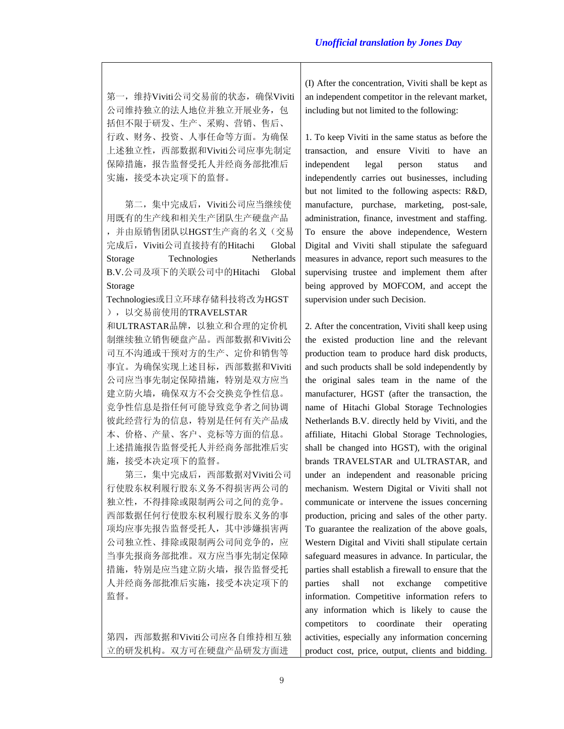第一,维持Viviti公司交易前的状态,确保Viviti 公司维持独立的法人地位并独立开展业务,包 括但不限于研发、生产、采购、营销、售后、 行政、财务、投资、人事任命等方面。为确保 上述独立性,西部数据和Viviti公司应事先制定 保障措施,报告监督受托人并经商务部批准后 实施,接受本决定项下的监督。

第二,集中完成后,Viviti公司应当继续使 用既有的生产线和相关生产团队生产硬盘产品 , 并由原销售团队以HGST生产商的名义(交易 完成后,Viviti公司直接持有的Hitachi Global Storage Technologies Netherlands B.V.公司及项下的关联公司中的Hitachi Global Storage

Technologies或日立环球存储科技将改为HGST ),以交易前使用的TRAVELSTAR

和ULTRASTAR品牌,以独立和合理的定价机 制继续独立销售硬盘产品。西部数据和Viviti公 司互不沟通或干预对方的生产、定价和销售等 事宜。为确保实现上述目标,西部数据和Viviti 公司应当事先制定保障措施,特别是双方应当 建立防火墙,确保双方不会交换竞争性信息。 竞争性信息是指任何可能导致竞争者之间协调 彼此经营行为的信息,特别是任何有关产品成 本、价格、产量、客户、竞标等方面的信息。 上述措施报告监督受托人并经商务部批准后实 施,接受本决定项下的监督。

第三,集中完成后,西部数据对Viviti公司 行使股东权利履行股东义务不得损害两公司的 独立性,不得排除或限制两公司之间的竞争。 西部数据任何行使股东权利履行股东义务的事 项均应事先报告监督受托人,其中涉嫌损害两 公司独立性、排除或限制两公司间竞争的,应 当事先报商务部批准。双方应当事先制定保障 措施,特别是应当建立防火墙,报告监督受托 人并经商务部批准后实施,接受本决定项下的 监督。

第四,西部数据和Viviti公司应各自维持相互独 立的研发机构。双方可在硬盘产品研发方面进

(I) After the concentration, Viviti shall be kept as an independent competitor in the relevant market, including but not limited to the following:

1. To keep Viviti in the same status as before the transaction, and ensure Viviti to have an independent legal person status and independently carries out businesses, including but not limited to the following aspects: R&D, manufacture, purchase, marketing, post-sale, administration, finance, investment and staffing. To ensure the above independence, Western Digital and Viviti shall stipulate the safeguard measures in advance, report such measures to the supervising trustee and implement them after being approved by MOFCOM, and accept the supervision under such Decision.

2. After the concentration, Viviti shall keep using the existed production line and the relevant production team to produce hard disk products, and such products shall be sold independently by the original sales team in the name of the manufacturer, HGST (after the transaction, the name of Hitachi Global Storage Technologies Netherlands B.V. directly held by Viviti, and the affiliate, Hitachi Global Storage Technologies, shall be changed into HGST), with the original brands TRAVELSTAR and ULTRASTAR, and under an independent and reasonable pricing mechanism. Western Digital or Viviti shall not communicate or intervene the issues concerning production, pricing and sales of the other party. To guarantee the realization of the above goals, Western Digital and Viviti shall stipulate certain safeguard measures in advance. In particular, the parties shall establish a firewall to ensure that the parties shall not exchange competitive information. Competitive information refers to any information which is likely to cause the competitors to coordinate their operating activities, especially any information concerning product cost, price, output, clients and bidding.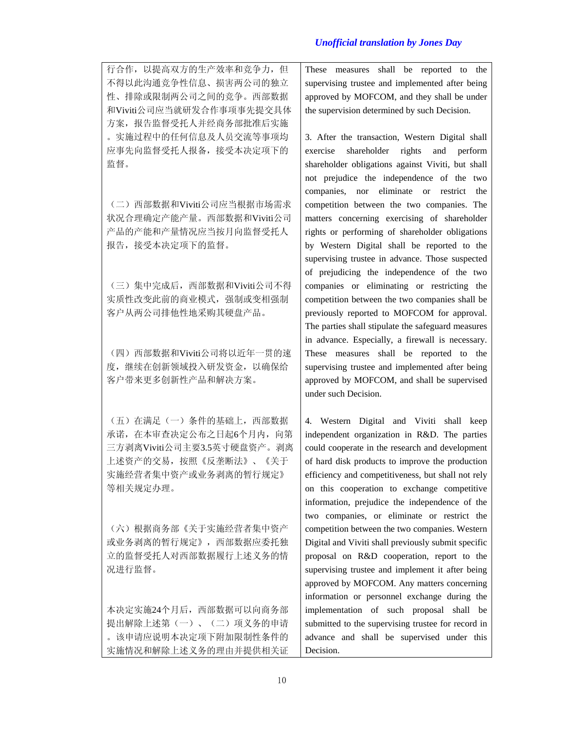行合作,以提高双方的生产效率和竞争力,但 不得以此沟通竞争性信息、损害两公司的独立 性、排除或限制两公司之间的竞争。西部数据 和Viviti公司应当就研发合作事项事先提交具体 方案,报告监督受托人并经商务部批准后实施 。实施过程中的任何信息及人员交流等事项均 应事先向监督受托人报备,接受本决定项下的 监督。

(二)西部数据和Viviti公司应当根据市场需求 状况合理确定产能产量。西部数据和Viviti公司 产品的产能和产量情况应当按月向监督受托人 报告,接受本决定项下的监督。

(三)集中完成后,西部数据和Viviti公司不得 实质性改变此前的商业模式,强制或变相强制 客户从两公司排他性地采购其硬盘产品。

(四)西部数据和Viviti公司将以近年一贯的速 度,继续在创新领域投入研发资金,以确保给 客户带来更多创新性产品和解决方案。

(五)在满足(一)条件的基础上,西部数据 承诺, 在本审查决定公布之日起6个月内, 向第 三方剥离Viviti公司主要3.5英寸硬盘资产。剥离 上述资产的交易,按照《反垄断法》、《关于 实施经营者集中资产或业务剥离的暂行规定》 等相关规定办理。

(六)根据商务部《关于实施经营者集中资产 或业务剥离的暂行规定》,西部数据应委托独 立的监督受托人对西部数据履行上述义务的情 况进行监督。

本决定实施24个月后,西部数据可以向商务部 提出解除上述第(一)、(二)项义务的申请 。该申请应说明本决定项下附加限制性条件的 实施情况和解除上述义务的理由并提供相关证 These measures shall be reported to the supervising trustee and implemented after being approved by MOFCOM, and they shall be under the supervision determined by such Decision.

3. After the transaction, Western Digital shall exercise shareholder rights and perform shareholder obligations against Viviti, but shall not prejudice the independence of the two companies, nor eliminate or restrict the competition between the two companies. The matters concerning exercising of shareholder rights or performing of shareholder obligations by Western Digital shall be reported to the supervising trustee in advance. Those suspected of prejudicing the independence of the two companies or eliminating or restricting the competition between the two companies shall be previously reported to MOFCOM for approval. The parties shall stipulate the safeguard measures in advance. Especially, a firewall is necessary. These measures shall be reported to the supervising trustee and implemented after being approved by MOFCOM, and shall be supervised under such Decision.

4. Western Digital and Viviti shall keep independent organization in R&D. The parties could cooperate in the research and development of hard disk products to improve the production efficiency and competitiveness, but shall not rely on this cooperation to exchange competitive information, prejudice the independence of the two companies, or eliminate or restrict the competition between the two companies. Western Digital and Viviti shall previously submit specific proposal on R&D cooperation, report to the supervising trustee and implement it after being approved by MOFCOM. Any matters concerning information or personnel exchange during the implementation of such proposal shall be submitted to the supervising trustee for record in advance and shall be supervised under this Decision.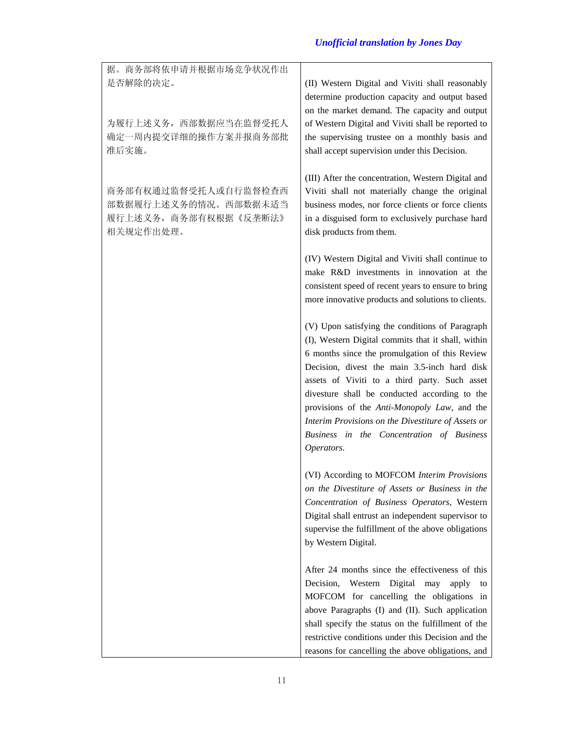| 据。商务部将依申请并根据市场竞争状况作出<br>是否解除的决定。                                                  | (II) Western Digital and Viviti shall reasonably<br>determine production capacity and output based<br>on the market demand. The capacity and output                                                                                                                                                                                                                                                                                                                        |
|-----------------------------------------------------------------------------------|----------------------------------------------------------------------------------------------------------------------------------------------------------------------------------------------------------------------------------------------------------------------------------------------------------------------------------------------------------------------------------------------------------------------------------------------------------------------------|
| 为履行上述义务,西部数据应当在监督受托人<br>确定一周内提交详细的操作方案并报商务部批<br>准后实施。                             | of Western Digital and Viviti shall be reported to<br>the supervising trustee on a monthly basis and<br>shall accept supervision under this Decision.                                                                                                                                                                                                                                                                                                                      |
| 商务部有权通过监督受托人或自行监督检查西<br>部数据履行上述义务的情况。西部数据未适当<br>履行上述义务,商务部有权根据《反垄断法》<br>相关规定作出处理。 | (III) After the concentration, Western Digital and<br>Viviti shall not materially change the original<br>business modes, nor force clients or force clients<br>in a disguised form to exclusively purchase hard<br>disk products from them.                                                                                                                                                                                                                                |
|                                                                                   | (IV) Western Digital and Viviti shall continue to<br>make R&D investments in innovation at the<br>consistent speed of recent years to ensure to bring<br>more innovative products and solutions to clients.                                                                                                                                                                                                                                                                |
|                                                                                   | (V) Upon satisfying the conditions of Paragraph<br>(I), Western Digital commits that it shall, within<br>6 months since the promulgation of this Review<br>Decision, divest the main 3.5-inch hard disk<br>assets of Viviti to a third party. Such asset<br>divesture shall be conducted according to the<br>provisions of the Anti-Monopoly Law, and the<br>Interim Provisions on the Divestiture of Assets or<br>Business in the Concentration of Business<br>Operators. |
|                                                                                   | (VI) According to MOFCOM Interim Provisions<br>on the Divestiture of Assets or Business in the<br>Concentration of Business Operators, Western<br>Digital shall entrust an independent supervisor to<br>supervise the fulfillment of the above obligations<br>by Western Digital.                                                                                                                                                                                          |
|                                                                                   | After 24 months since the effectiveness of this<br>Decision,<br>Western Digital may<br>apply<br>to<br>MOFCOM for cancelling the obligations in<br>above Paragraphs (I) and (II). Such application<br>shall specify the status on the fulfillment of the<br>restrictive conditions under this Decision and the<br>reasons for cancelling the above obligations, and                                                                                                         |